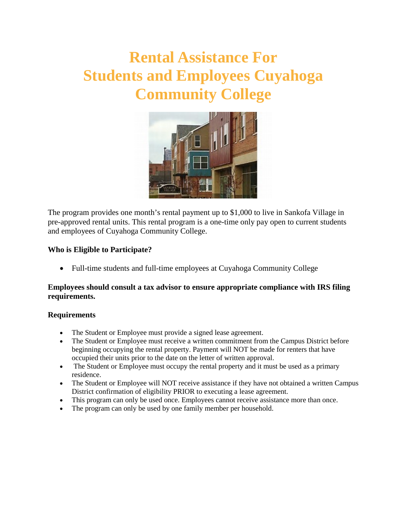# **Rental Assistance For Students and Employees Cuyahoga Community College**



The program provides one month's rental payment up to \$1,000 to live in Sankofa Village in pre-approved rental units. This rental program is a one-time only pay open to current students and employees of Cuyahoga Community College.

### **Who is Eligible to Participate?**

• Full-time students and full-time employees at Cuyahoga Community College

### **Employees should consult a tax advisor to ensure appropriate compliance with IRS filing requirements.**

#### **Requirements**

- The Student or Employee must provide a signed lease agreement.
- The Student or Employee must receive a written commitment from the Campus District before beginning occupying the rental property. Payment will NOT be made for renters that have occupied their units prior to the date on the letter of written approval.
- The Student or Employee must occupy the rental property and it must be used as a primary residence.
- The Student or Employee will NOT receive assistance if they have not obtained a written Campus District confirmation of eligibility PRIOR to executing a lease agreement.
- This program can only be used once. Employees cannot receive assistance more than once.
- The program can only be used by one family member per household.